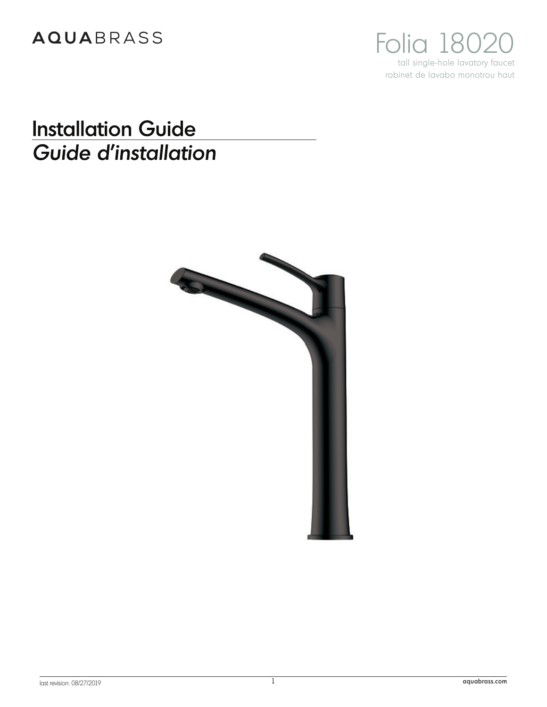Folia 18020 tall single-hole lavatory faucet robinet de lavabo monotrou haut

# **Installation Guide** Guide d'installation

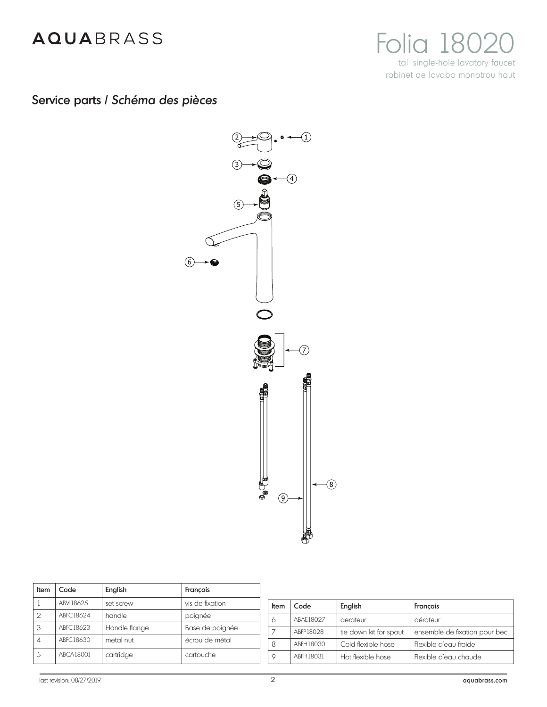

Service parts / *Schéma des pièces*



| Item | Code             | English       | Francais        |
|------|------------------|---------------|-----------------|
|      | ABVI18625        | set screw     | vis de fixation |
| 2    | ABFC18624        | handle        | poignée         |
| 3    | ABFC18623        | Handle flange | Base de poignée |
| 4    | ABFC18630        | metal nut     | écrou de métal  |
| 5    | <b>ABCA18001</b> | cartridge     | cartouche       |

| Item | Code      | English                | Francais                      |
|------|-----------|------------------------|-------------------------------|
| 6    | ABAF18027 | aerateur               | aérateur                      |
|      | ABFP18028 | tie down kit for spout | ensemble de fixation pour bec |
| 8    | ABFH18030 | Cold flexible hose     | Flexible d'eau froide         |
| 9    | ABFH18031 | Hot flexible hose      | Flexible d'eau chaude         |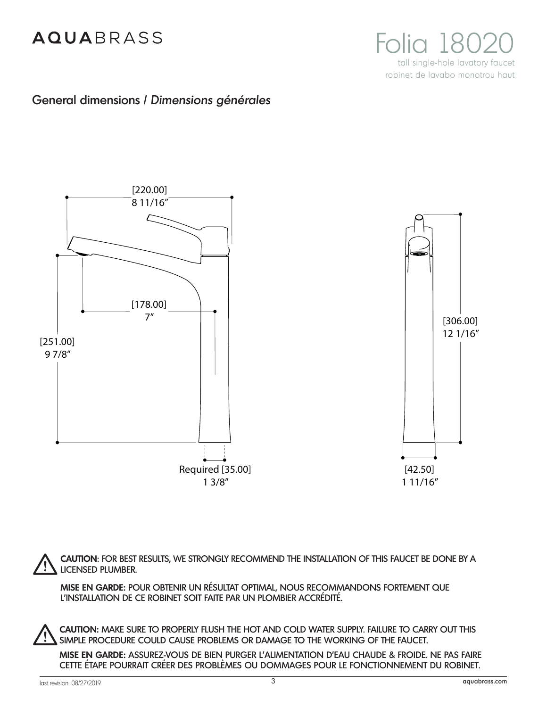

### General dimensions / *Dimensions générales*



**CAUTION**: FOR BEST RESULTS, WE STRONGLY RECOMMEND THE INSTALLATION OF THIS FAUCET BE DONE BY A LICENSED PLUMBER.

**MISE EN GARDE:** POUR OBTENIR UN RÉSULTAT OPTIMAL, NOUS RECOMMANDONS FORTEMENT QUE L'INSTALLATION DE CE ROBINET SOIT FAITE PAR UN PLOMBIER ACCRÉDITÉ.

**CAUTION:** MAKE SURE TO PROPERLY FLUSH THE HOT AND COLD WATER SUPPLY. FAILURE TO CARRY OUT THIS SIMPLE PROCEDURE COULD CAUSE PROBLEMS OR DAMAGE TO THE WORKING OF THE FAUCET.

**MISE EN GARDE:** ASSUREZ-VOUS DE BIEN PURGER L'ALIMENTATION D'EAU CHAUDE & FROIDE. NE PAS FAIRE CETTE ÉTAPE POURRAIT CRÉER DES PROBLÈMES OU DOMMAGES POUR LE FONCTIONNEMENT DU ROBINET.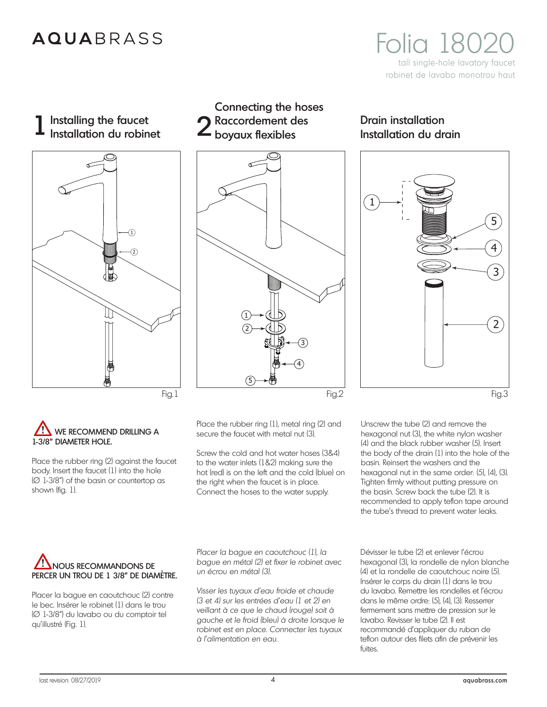## **AQUARRASS**

**Folia 180** tall single-hole lavatory faucet robinet de lavabo monotrou haut

1 Installing the faucet<br>
2 Installation du robinet



## Connecting the hoses Raccordement des  $\angle$  boyaux flexibles



### WE RECOMMEND DRILLING A 1-3/8" DIAMETER HOLE.

Place the rubber ring (2) against the faucet body. Insert the faucet (1) into the hole (Ø 1-3/8") of the basin or countertop as shown (fig. 1).

Place the rubber ring (1), metal ring (2) and secure the faucet with metal nut (3).

Screw the cold and hot water hoses (3&4) to the water inlets (1&2) making sure the hot (red) is on the left and the cold (blue) on the right when the faucet is in place. Connect the hoses to the water supply.

Drain installation Installation du drain



Unscrew the tube (2) and remove the hexagonal nut (3), the white nylon washer (4) and the black rubber washer (5). Insert the body of the drain (1) into the hole of the basin. Reinsert the washers and the hexagonal nut in the same order: (5), (4), (3). Tighten firmly without putting pressure on the basin. Screw back the tube (2). It is recommended to apply teflon tape around the tube's thread to prevent water leaks.

### NOUS RECOMMANDONS DE PERCER UN TROU DE 1 3/8" DE DIAMÈTRE.

Placer la bague en caoutchouc (2) contre le bec. Insérer le robinet (1) dans le trou (Ø 1-3/8") du lavabo ou du comptoir tel qu'illustré (Fig. 1).

*Placer la bague en caoutchouc (1), la bague en métal (2) et fixer le robinet avec un écrou en métal (3).*

*Visser les tuyaux d'eau froide et chaude (3 et 4) sur les entrées d'eau (1 et 2) en veillant à ce que le chaud (rouge) soit à gauche et le froid (bleu) à droite lorsque le robinet est en place. Connecter les tuyaux à l'alimentation en eau.*

Dévisser le tube (2) et enlever l'écrou hexagonal (3), la rondelle de nylon blanche (4) et la rondelle de caoutchouc noire (5). Insérer le corps du drain (1) dans le trou du lavabo. Remettre les rondelles et l'écrou dans le même ordre: (5), (4), (3). Resserrer fermement sans mettre de pression sur le lavabo. Revisser le tube (2). Il est recommandé d'appliquer du ruban de teflon autour des filets afin de prévenir les fuites.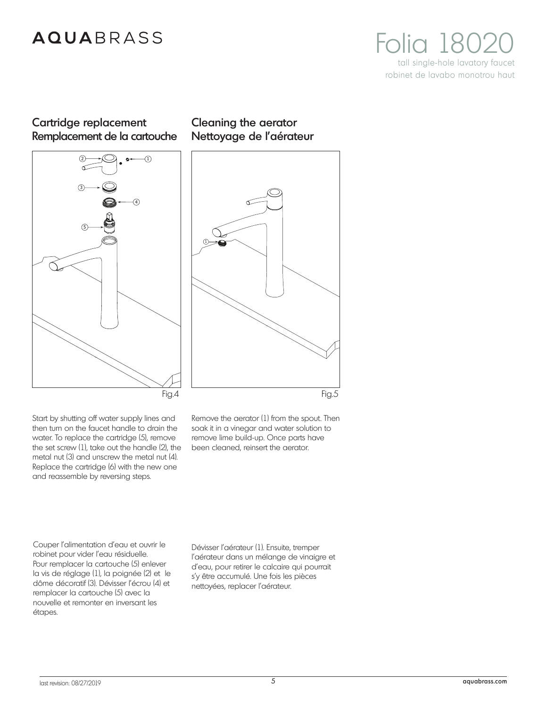

### Cartridge replacement Remplacement de la cartouche



### Cleaning the aerator Nettoyage de l'aérateur



Start by shutting off water supply lines and then turn on the faucet handle to drain the water. To replace the cartridge (5), remove the set screw (1), take out the handle (2), the metal nut (3) and unscrew the metal nut (4). Replace the cartridge (6) with the new one and reassemble by reversing steps.

Remove the aerator (1) from the spout. Then soak it in a vinegar and water solution to remove lime build-up. Once parts have been cleaned, reinsert the aerator.

Couper l'alimentation d'eau et ouvrir le robinet pour vider l'eau résiduelle. Pour remplacer la cartouche (5) enlever la vis de réglage (1), la poignée (2) et le dôme décoratif (3). Dévisser l'écrou (4) et remplacer la cartouche (5) avec la nouvelle et remonter en inversant les étapes.

Dévisser l'aérateur (1). Ensuite, tremper l'aérateur dans un mélange de vinaigre et d'eau, pour retirer le calcaire qui pourrait s'y être accumulé. Une fois les pièces nettoyées, replacer l'aérateur.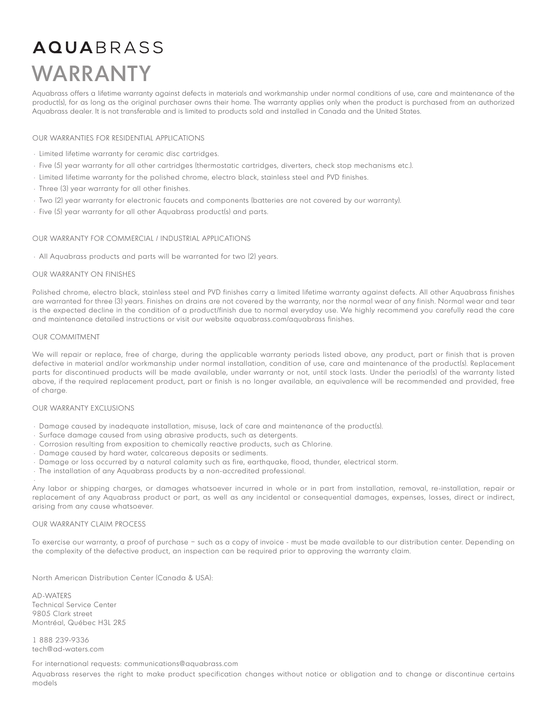# **AQUA**BRASS WARRANTY

Aquabrass offers a lifetime warranty against defects in materials and workmanship under normal conditions of use, care and maintenance of the product(s), for as long as the original purchaser owns their home. The warranty applies only when the product is purchased from an authorized Aquabrass dealer. It is not transferable and is limited to products sold and installed in Canada and the United States.

#### OUR WARRANTIES FOR RESIDENTIAL APPLICATIONS

- Limited lifetime warranty for ceramic disc cartridges.
- Five (5) year warranty for all other cartridges (thermostatic cartridges, diverters, check stop mechanisms etc.).
- Limited lifetime warranty for the polished chrome, electro black, stainless steel and PVD finishes.
- Three (3) year warranty for all other finishes.
- Two (2) year warranty for electronic faucets and components (batteries are not covered by our warranty).
- Five (5) year warranty for all other Aquabrass product(s) and parts.

#### OUR WARRANTY FOR COMMERCIAL / INDUSTRIAL APPLICATIONS

• All Aquabrass products and parts will be warranted for two (2) years.

#### OUR WARRANTY ON FINISHES

Polished chrome, electro black, stainless steel and PVD finishes carry a limited lifetime warranty against defects. All other Aquabrass finishes are warranted for three (3) years. Finishes on drains are not covered by the warranty, nor the normal wear of any finish. Normal wear and tear is the expected decline in the condition of a product/finish due to normal everyday use. We highly recommend you carefully read the care and maintenance detailed instructions or visit our website aquabrass.com/aquabrass finishes.

#### OUR COMMITMENT

•

We will repair or replace, free of charge, during the applicable warranty periods listed above, any product, part or finish that is proven defective in material and/or workmanship under normal installation, condition of use, care and maintenance of the product(s). Replacement parts for discontinued products will be made available, under warranty or not, until stock lasts. Under the period(s) of the warranty listed above, if the required replacement product, part or finish is no longer available, an equivalence will be recommended and provided, free of charge.

#### OUR WARRANTY EXCLUSIONS

- Damage caused by inadequate installation, misuse, lack of care and maintenance of the product(s).
- Surface damage caused from using abrasive products, such as detergents.
- Corrosion resulting from exposition to chemically reactive products, such as Chlorine.
- Damage caused by hard water, calcareous deposits or sediments.
- Damage or loss occurred by a natural calamity such as fire, earthquake, flood, thunder, electrical storm.
- The installation of any Aquabrass products by a non-accredited professional.

Any labor or shipping charges, or damages whatsoever incurred in whole or in part from installation, removal, re-installation, repair or replacement of any Aquabrass product or part, as well as any incidental or consequential damages, expenses, losses, direct or indirect, arising from any cause whatsoever.

#### OUR WARRANTY CLAIM PROCESS

To exercise our warranty, a proof of purchase – such as a copy of invoice - must be made available to our distribution center. Depending on the complexity of the defective product, an inspection can be required prior to approving the warranty claim.

North American Distribution Center (Canada & USA):

AD-WATERS Technical Service Center 9805 Clark street Montréal, Québec H3L 2R5

1 888 239-9336 tech@ad-waters.com

#### For international requests: communications@aquabrass.com

Aquabrass reserves the right to make product specification changes without notice or obligation and to change or discontinue certains models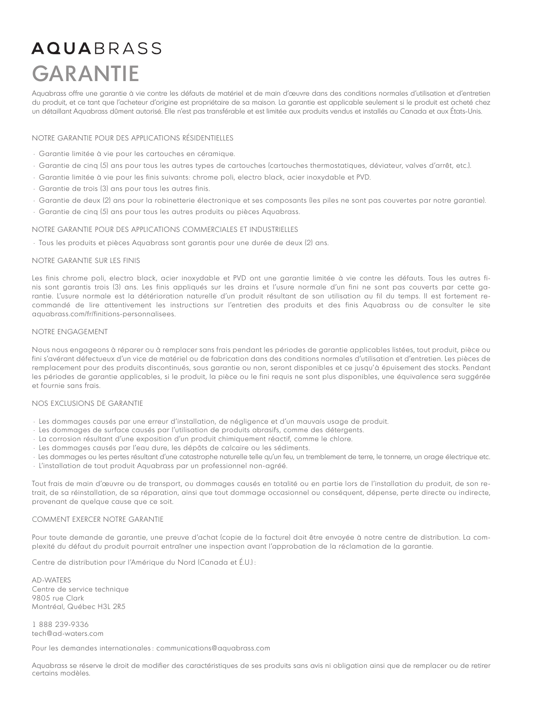# **AQUARRASS** GARANTIE

Aquabrass offre une garantie à vie contre les défauts de matériel et de main d'œuvre dans des conditions normales d'utilisation et d'entretien du produit, et ce tant que l'acheteur d'origine est propriétaire de sa maison. La garantie est applicable seulement si le produit est acheté chez un détaillant Aquabrass dûment autorisé. Elle n'est pas transférable et est limitée aux produits vendus et installés au Canada et aux États-Unis.

#### NOTRE GARANTIE POUR DES APPLICATIONS RÉSIDENTIELLES

- Garantie limitée à vie pour les cartouches en céramique.
- Garantie de cinq (5) ans pour tous les autres types de cartouches (cartouches thermostatiques, déviateur, valves d'arrêt, etc.).
- Garantie limitée à vie pour les finis suivants: chrome poli, electro black, acier inoxydable et PVD.
- Garantie de trois (3) ans pour tous les autres finis.
- Garantie de deux (2) ans pour la robinetterie électronique et ses composants (les piles ne sont pas couvertes par notre garantie).
- Garantie de cinq (5) ans pour tous les autres produits ou pièces Aquabrass.

#### NOTRE GARANTIE POUR DES APPLICATIONS COMMERCIALES ET INDUSTRIELLES

• Tous les produits et pièces Aquabrass sont garantis pour une durée de deux (2) ans.

#### NOTRE GARANTIE SUR LES FINIS

Les finis chrome poli, electro black, acier inoxydable et PVD ont une garantie limitée à vie contre les défauts. Tous les autres finis sont garantis trois (3) ans. Les finis appliqués sur les drains et l'usure normale d'un fini ne sont pas couverts par cette garantie. L'usure normale est la détérioration naturelle d'un produit résultant de son utilisation au fil du temps. Il est fortement recommandé de lire attentivement les instructions sur l'entretien des produits et des finis Aquabrass ou de consulter le site aquabrass.com/fr/finitions-personnalisees.

#### NOTRE ENGAGEMENT

Nous nous engageons à réparer ou à remplacer sans frais pendant les périodes de garantie applicables listées, tout produit, pièce ou fini s'avérant défectueux d'un vice de matériel ou de fabrication dans des conditions normales d'utilisation et d'entretien. Les pièces de remplacement pour des produits discontinués, sous garantie ou non, seront disponibles et ce jusqu'à épuisement des stocks. Pendant les périodes de garantie applicables, si le produit, la pièce ou le fini requis ne sont plus disponibles, une équivalence sera suggérée et fournie sans frais.

#### NOS EXCLUSIONS DE GARANTIE

- Les dommages causés par une erreur d'installation, de négligence et d'un mauvais usage de produit.
- Les dommages de surface causés par l'utilisation de produits abrasifs, comme des détergents.
- La corrosion résultant d'une exposition d'un produit chimiquement réactif, comme le chlore.
- Les dommages causés par l'eau dure, les dépôts de calcaire ou les sédiments.

• Les dommages ou les pertes résultant d'une catastrophe naturelle telle qu'un feu, un tremblement de terre, le tonnerre, un orage électrique etc.

• L'installation de tout produit Aquabrass par un professionnel non-agréé.

Tout frais de main d'œuvre ou de transport, ou dommages causés en totalité ou en partie lors de l'installation du produit, de son retrait, de sa réinstallation, de sa réparation, ainsi que tout dommage occasionnel ou conséquent, dépense, perte directe ou indirecte, provenant de quelque cause que ce soit.

#### COMMENT EXERCER NOTRE GARANTIE

Pour toute demande de garantie, une preuve d'achat (copie de la facture) doit être envoyée à notre centre de distribution. La complexité du défaut du produit pourrait entraîner une inspection avant l'approbation de la réclamation de la garantie.

Centre de distribution pour l'Amérique du Nord (Canada et É.U.) :

AD-WATERS Centre de service technique 9805 rue Clark Montréal, Québec H3L 2R5

1 888 239-9336 tech@ad-waters.com

Pour les demandes internationales : communications@aquabrass.com

Aquabrass se réserve le droit de modifier des caractéristiques de ses produits sans avis ni obligation ainsi que de remplacer ou de retirer certains modèles.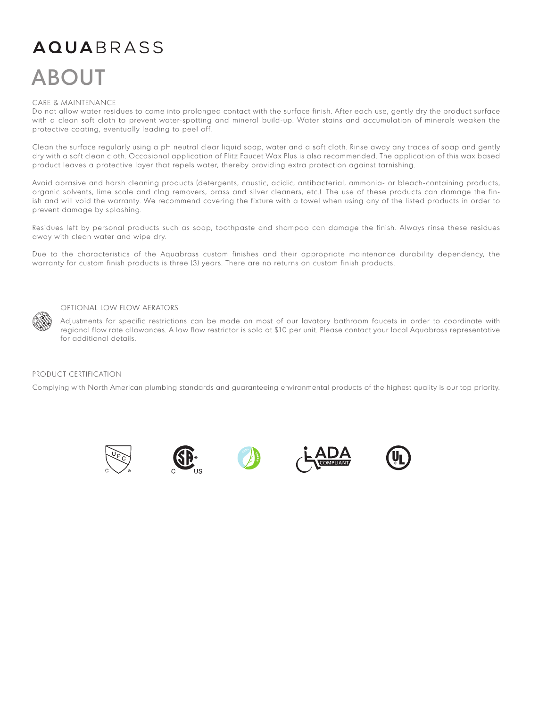# **AQUA**BRASS ABOUT

#### CARE & MAINTENANCE

Do not allow water residues to come into prolonged contact with the surface finish. After each use, gently dry the product surface with a clean soft cloth to prevent water-spotting and mineral build-up. Water stains and accumulation of minerals weaken the protective coating, eventually leading to peel off.

Clean the surface regularly using a pH neutral clear liquid soap, water and a soft cloth. Rinse away any traces of soap and gently dry with a soft clean cloth. Occasional application of Flitz Faucet Wax Plus is also recommended. The application of this wax based product leaves a protective layer that repels water, thereby providing extra protection against tarnishing.

Avoid abrasive and harsh cleaning products (detergents, caustic, acidic, antibacterial, ammonia- or bleach-containing products, organic solvents, lime scale and clog removers, brass and silver cleaners, etc.). The use of these products can damage the finish and will void the warranty. We recommend covering the fixture with a towel when using any of the listed products in order to prevent damage by splashing.

Residues left by personal products such as soap, toothpaste and shampoo can damage the finish. Always rinse these residues away with clean water and wipe dry.

Due to the characteristics of the Aquabrass custom finishes and their appropriate maintenance durability dependency, the warranty for custom finish products is three (3) years. There are no returns on custom finish products.



#### OPTIONAL LOW FLOW AERATORS

Adjustments for specific restrictions can be made on most of our lavatory bathroom faucets in order to coordinate with regional flow rate allowances. A low flow restrictor is sold at \$10 per unit. Please contact your local Aquabrass representative for additional details.

#### PRODUCT CERTIFICATION

Complying with North American plumbing standards and guaranteeing environmental products of the highest quality is our top priority.